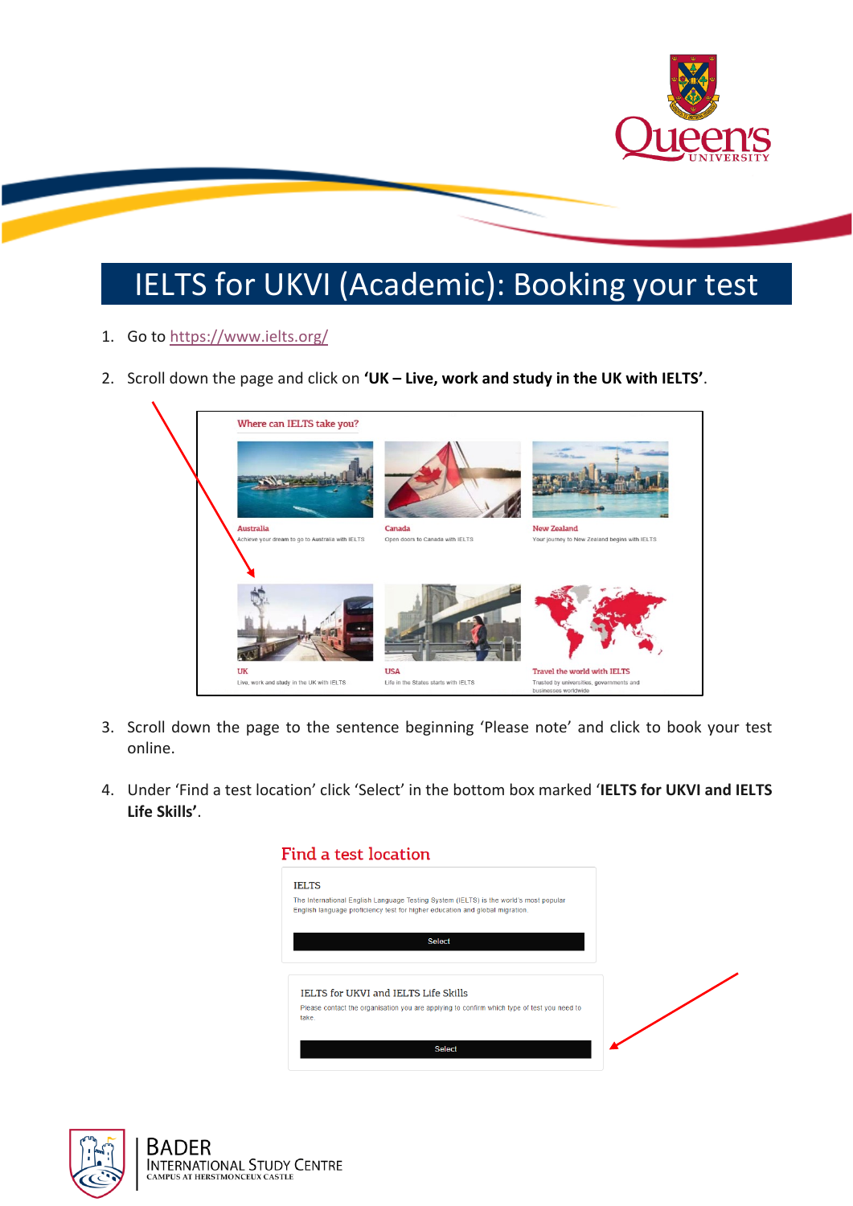

## IELTS for UKVI (Academic): Booking your test

- 1. Go to<https://www.ielts.org/>
- 2. Scroll down the page and click on **'UK – Live, work and study in the UK with IELTS'**.



- 3. Scroll down the page to the sentence beginning 'Please note' and click to book your test online.
- 4. Under 'Find a test location' click 'Select' in the bottom box marked '**IELTS for UKVI and IELTS Life Skills'**.

| <b>IELTS</b> |                                                                                                                                                                       |  |
|--------------|-----------------------------------------------------------------------------------------------------------------------------------------------------------------------|--|
|              | The International English Language Testing System (IELTS) is the world's most popular<br>English language proficiency test for higher education and global migration. |  |
|              | <b>Select</b>                                                                                                                                                         |  |
|              | IELTS for UKVI and IELTS Life Skills                                                                                                                                  |  |
|              |                                                                                                                                                                       |  |

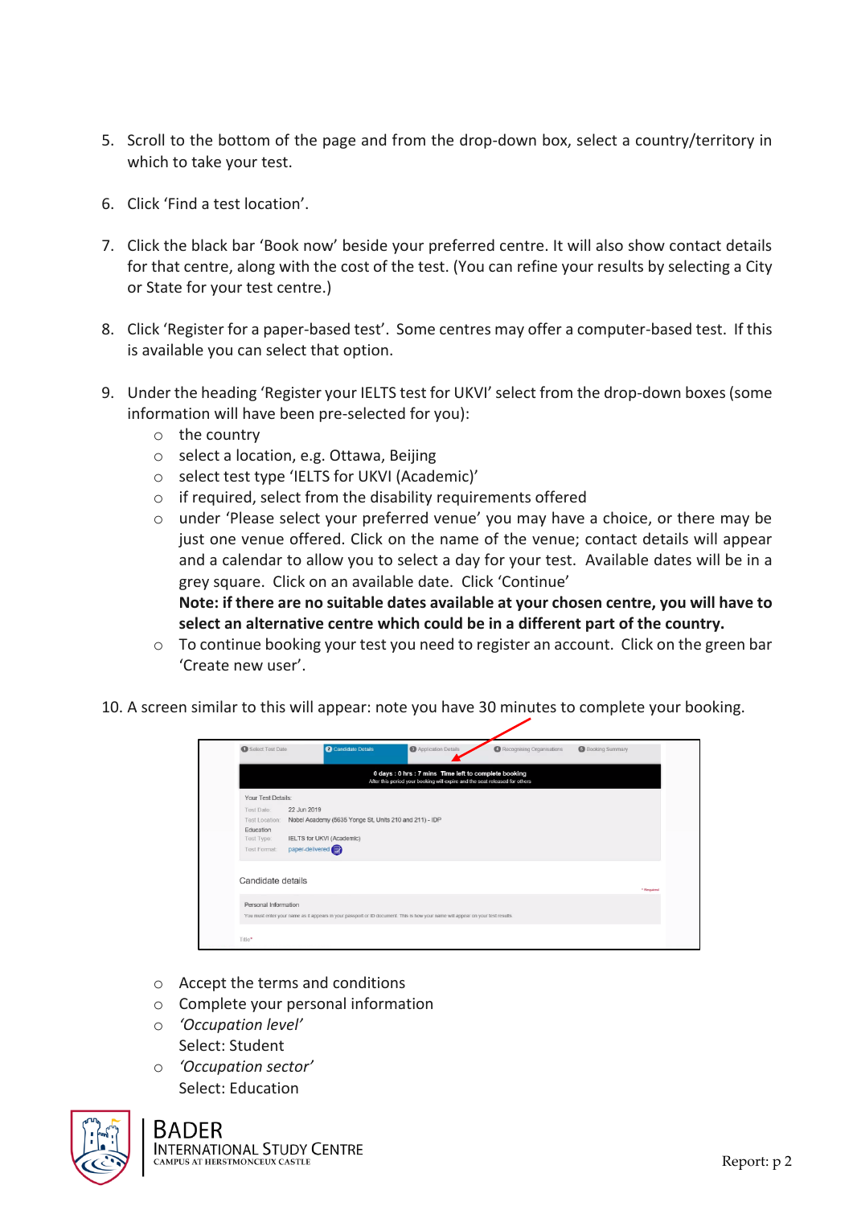- 5. Scroll to the bottom of the page and from the drop-down box, select a country/territory in which to take your test.
- 6. Click 'Find a test location'.
- 7. Click the black bar 'Book now' beside your preferred centre. It will also show contact details for that centre, along with the cost of the test. (You can refine your results by selecting a City or State for your test centre.)
- 8. Click 'Register for a paper-based test'. Some centres may offer a computer-based test. If this is available you can select that option.
- 9. Under the heading 'Register your IELTS test for UKVI' select from the drop-down boxes(some information will have been pre-selected for you):
	- o the country
	- o select a location, e.g. Ottawa, Beijing
	- o select test type 'IELTS for UKVI (Academic)'
	- $\circ$  if required, select from the disability requirements offered
	- o under 'Please select your preferred venue' you may have a choice, or there may be just one venue offered. Click on the name of the venue; contact details will appear and a calendar to allow you to select a day for your test. Available dates will be in a grey square. Click on an available date. Click 'Continue' **Note: if there are no suitable dates available at your chosen centre, you will have to select an alternative centre which could be in a different part of the country.**
	- $\circ$  To continue booking your test you need to register an account. Click on the green bar 'Create new user'.
- 10. A screen similar to this will appear: note you have 30 minutes to complete your booking.

| Select Test Date      | Candidate Details                                                                                                               | Application Details                                                                                                                | Recognising Organisations | Booking Summary |
|-----------------------|---------------------------------------------------------------------------------------------------------------------------------|------------------------------------------------------------------------------------------------------------------------------------|---------------------------|-----------------|
|                       |                                                                                                                                 | 0 days: 0 hrs: 7 mins Time left to complete booking<br>After this period your booking will expire and the seat released for others |                           |                 |
| Your Test Details:    |                                                                                                                                 |                                                                                                                                    |                           |                 |
| <b>Test Date:</b>     | 22 Jun 2019                                                                                                                     |                                                                                                                                    |                           |                 |
| <b>Test Location:</b> | Nobel Academy (5635 Yonge St, Units 210 and 211) - IDP                                                                          |                                                                                                                                    |                           |                 |
| Education             |                                                                                                                                 |                                                                                                                                    |                           |                 |
| Test Type:            | IELTS for UKVI (Academic)                                                                                                       |                                                                                                                                    |                           |                 |
| <b>Test Format:</b>   | paper-delivered                                                                                                                 |                                                                                                                                    |                           |                 |
|                       |                                                                                                                                 |                                                                                                                                    |                           |                 |
| Candidate details     |                                                                                                                                 |                                                                                                                                    |                           |                 |
|                       |                                                                                                                                 |                                                                                                                                    |                           | * Required      |
| Personal Information  |                                                                                                                                 |                                                                                                                                    |                           |                 |
|                       | You must enter your name as it appears in your passport or ID document. This is how your name will appear on your test results. |                                                                                                                                    |                           |                 |
|                       |                                                                                                                                 |                                                                                                                                    |                           |                 |
|                       |                                                                                                                                 |                                                                                                                                    |                           |                 |

- o Accept the terms and conditions
- o Complete your personal information
- o *'Occupation level'* Select: Student
- o *'Occupation sector'* Select: Education



## **BADER**

**INTERNATIONAL STUDY CENTRE** AMPUS AT HERSTMONCEUX CASTLE